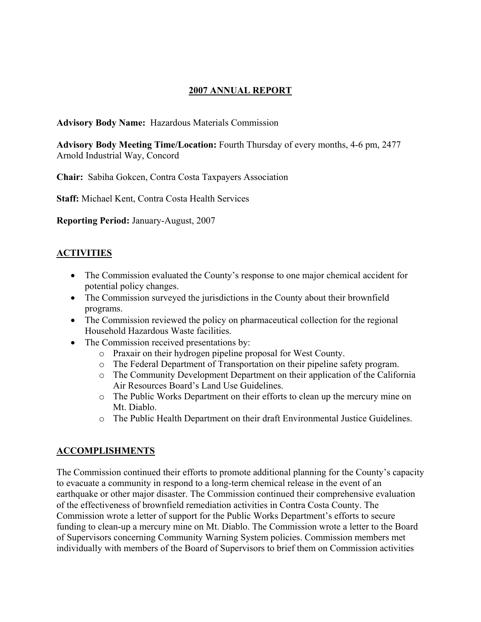# **2007 ANNUAL REPORT**

**Advisory Body Name:** Hazardous Materials Commission

**Advisory Body Meeting Time/Location:** Fourth Thursday of every months, 4-6 pm, 2477 Arnold Industrial Way, Concord

**Chair:** Sabiha Gokcen, Contra Costa Taxpayers Association

**Staff:** Michael Kent, Contra Costa Health Services

**Reporting Period:** January-August, 2007

# **ACTIVITIES**

- The Commission evaluated the County's response to one major chemical accident for potential policy changes.
- The Commission surveyed the jurisdictions in the County about their brownfield programs.
- The Commission reviewed the policy on pharmaceutical collection for the regional Household Hazardous Waste facilities.
- The Commission received presentations by:
	- o Praxair on their hydrogen pipeline proposal for West County.
	- o The Federal Department of Transportation on their pipeline safety program.
	- o The Community Development Department on their application of the California Air Resources Board's Land Use Guidelines.
	- o The Public Works Department on their efforts to clean up the mercury mine on Mt. Diablo.
	- o The Public Health Department on their draft Environmental Justice Guidelines.

# **ACCOMPLISHMENTS**

The Commission continued their efforts to promote additional planning for the County's capacity to evacuate a community in respond to a long-term chemical release in the event of an earthquake or other major disaster. The Commission continued their comprehensive evaluation of the effectiveness of brownfield remediation activities in Contra Costa County. The Commission wrote a letter of support for the Public Works Department's efforts to secure funding to clean-up a mercury mine on Mt. Diablo. The Commission wrote a letter to the Board of Supervisors concerning Community Warning System policies. Commission members met individually with members of the Board of Supervisors to brief them on Commission activities